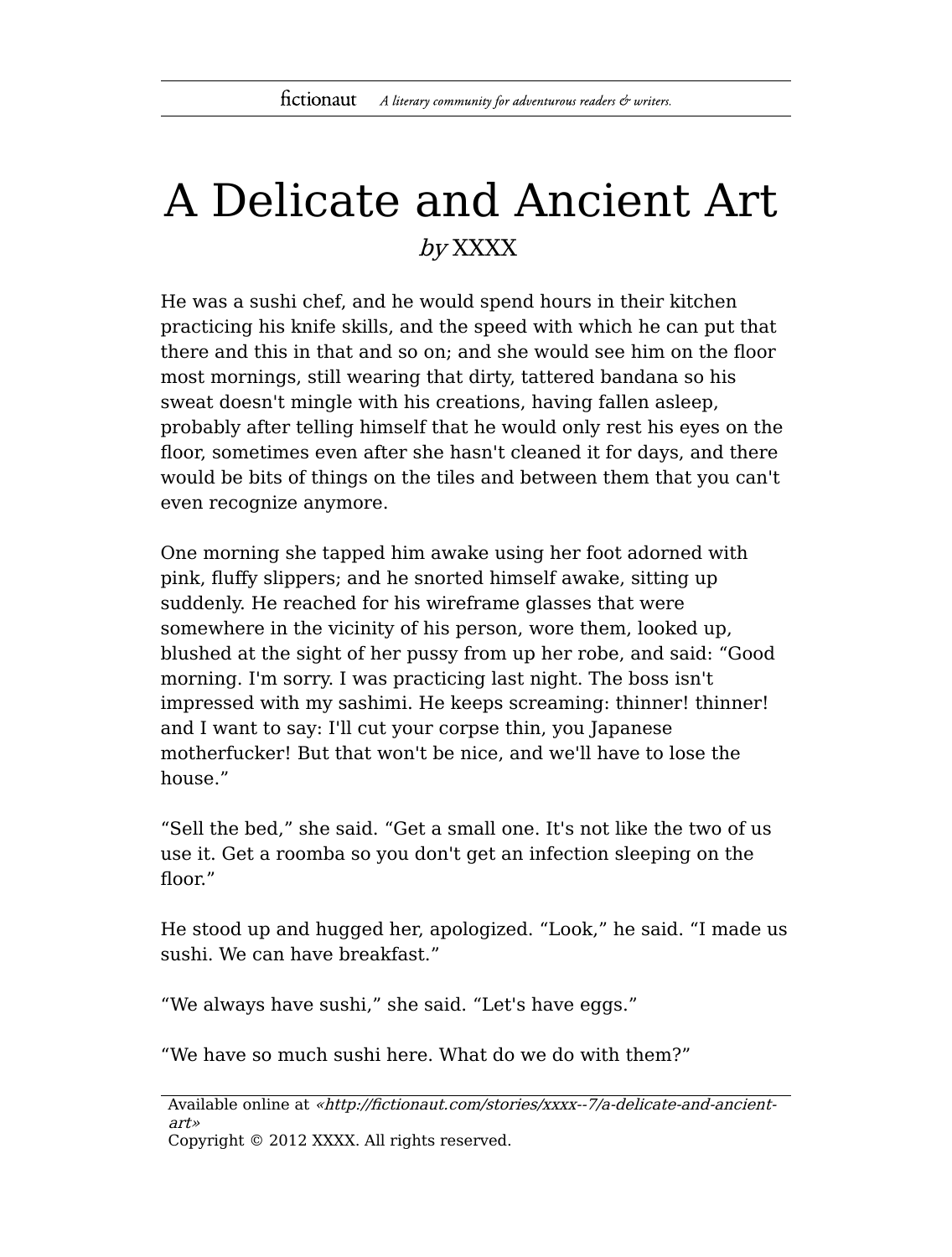## A Delicate and Ancient Art by XXXX

He was a sushi chef, and he would spend hours in their kitchen practicing his knife skills, and the speed with which he can put that there and this in that and so on; and she would see him on the floor most mornings, still wearing that dirty, tattered bandana so his sweat doesn't mingle with his creations, having fallen asleep, probably after telling himself that he would only rest his eyes on the floor, sometimes even after she hasn't cleaned it for days, and there would be bits of things on the tiles and between them that you can't even recognize anymore.

One morning she tapped him awake using her foot adorned with pink, fluffy slippers; and he snorted himself awake, sitting up suddenly. He reached for his wireframe glasses that were somewhere in the vicinity of his person, wore them, looked up, blushed at the sight of her pussy from up her robe, and said: "Good morning. I'm sorry. I was practicing last night. The boss isn't impressed with my sashimi. He keeps screaming: thinner! thinner! and I want to say: I'll cut your corpse thin, you Japanese motherfucker! But that won't be nice, and we'll have to lose the house."

"Sell the bed," she said. "Get a small one. It's not like the two of us use it. Get a roomba so you don't get an infection sleeping on the floor."

He stood up and hugged her, apologized. "Look," he said. "I made us sushi. We can have breakfast."

"We always have sushi," she said. "Let's have eggs."

"We have so much sushi here. What do we do with them?"

Available online at «http://fictionaut.com/stories/xxxx--7/a-delicate-and-ancientart» Copyright © 2012 XXXX. All rights reserved.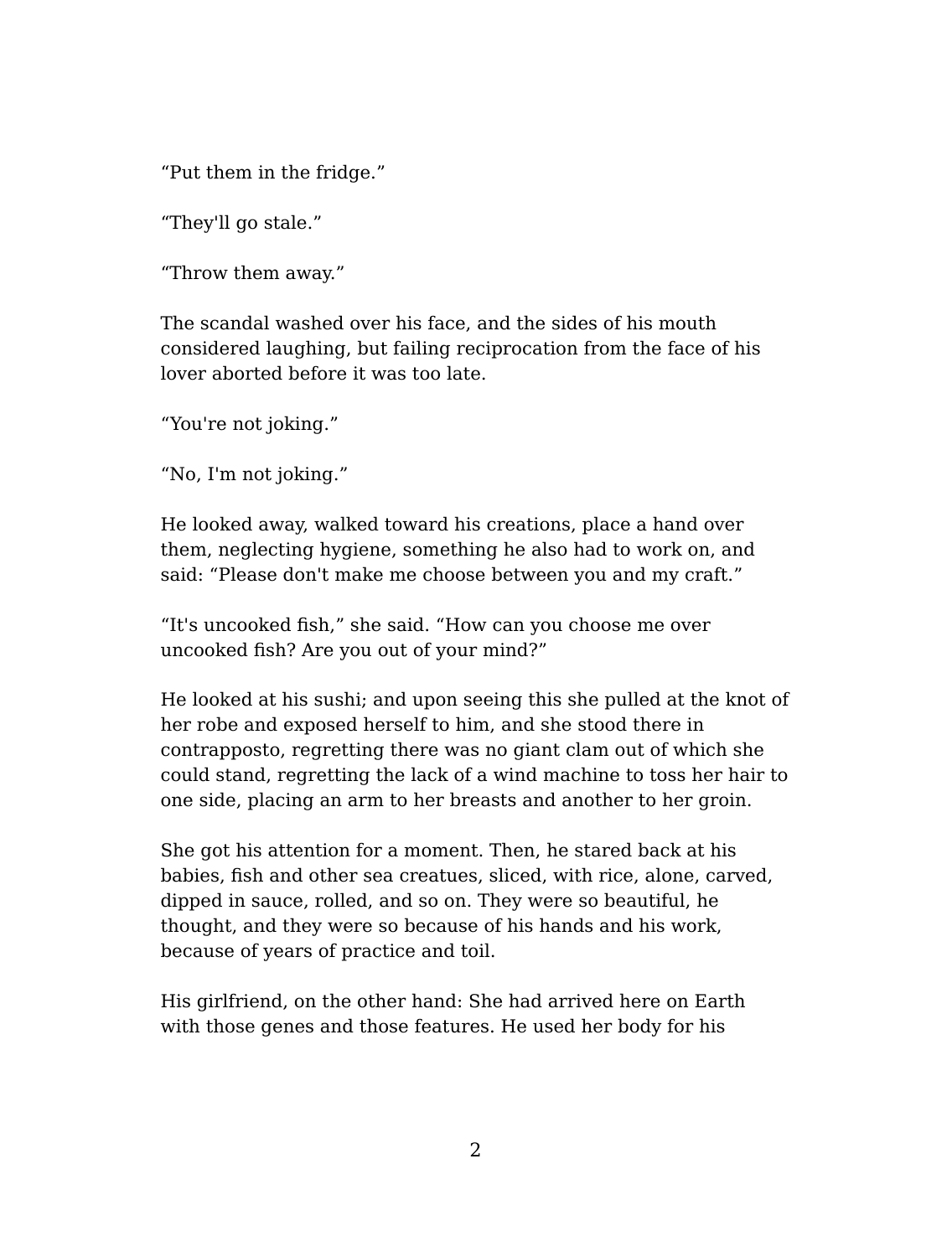"Put them in the fridge."

"They'll go stale."

"Throw them away."

The scandal washed over his face, and the sides of his mouth considered laughing, but failing reciprocation from the face of his lover aborted before it was too late.

"You're not joking."

"No, I'm not joking."

He looked away, walked toward his creations, place a hand over them, neglecting hygiene, something he also had to work on, and said: "Please don't make me choose between you and my craft."

"It's uncooked fish," she said. "How can you choose me over uncooked fish? Are you out of your mind?"

He looked at his sushi; and upon seeing this she pulled at the knot of her robe and exposed herself to him, and she stood there in contrapposto, regretting there was no giant clam out of which she could stand, regretting the lack of a wind machine to toss her hair to one side, placing an arm to her breasts and another to her groin.

She got his attention for a moment. Then, he stared back at his babies, fish and other sea creatues, sliced, with rice, alone, carved, dipped in sauce, rolled, and so on. They were so beautiful, he thought, and they were so because of his hands and his work, because of years of practice and toil.

His girlfriend, on the other hand: She had arrived here on Earth with those genes and those features. He used her body for his